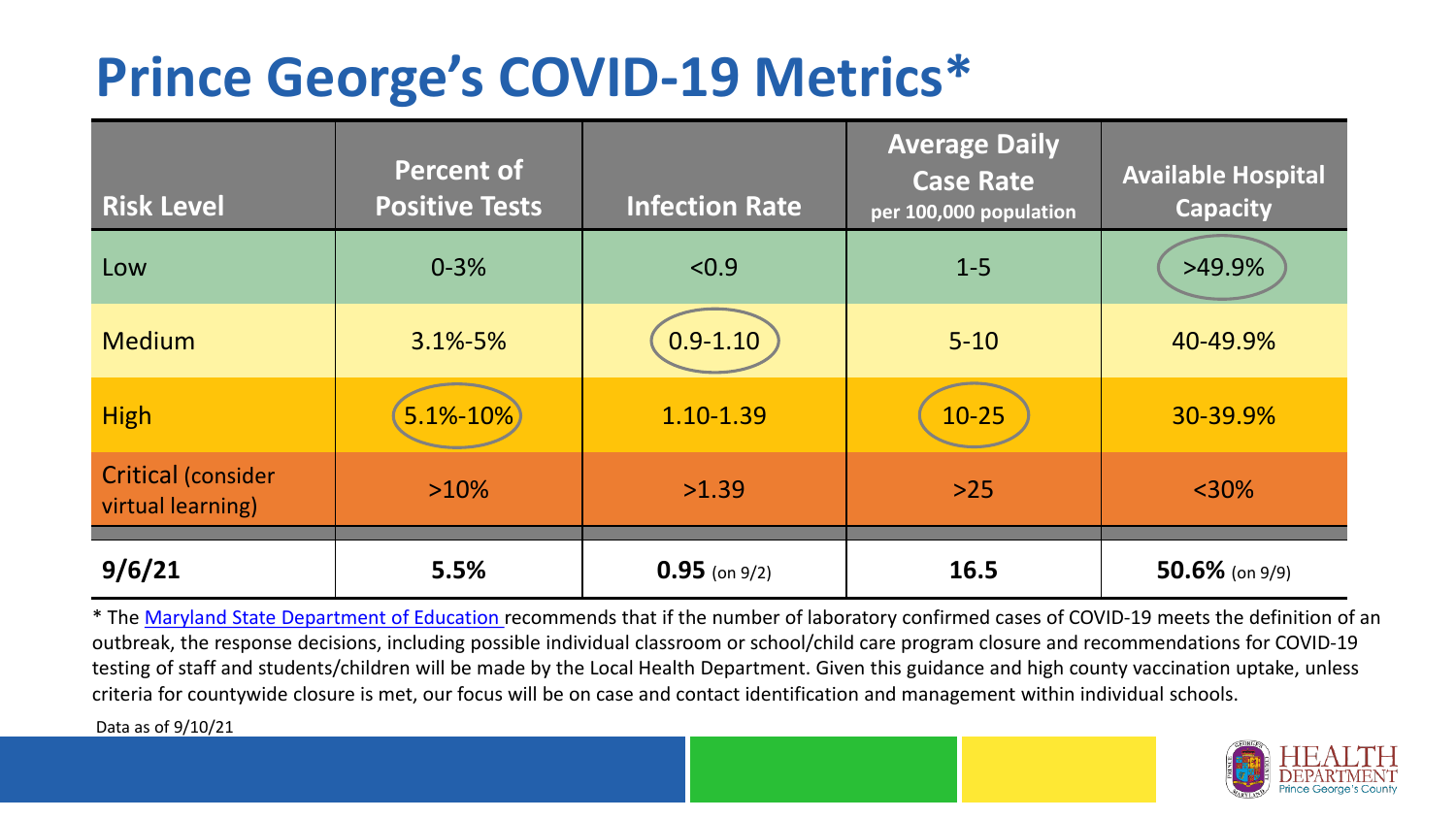## **Prince George's COVID-19 Metrics\***

| <b>Risk Level</b>                              | <b>Percent of</b><br><b>Positive Tests</b> | <b>Infection Rate</b> | <b>Average Daily</b><br><b>Case Rate</b><br>per 100,000 population | <b>Available Hospital</b><br><b>Capacity</b> |
|------------------------------------------------|--------------------------------------------|-----------------------|--------------------------------------------------------------------|----------------------------------------------|
| Low                                            | $0 - 3%$                                   | < 0.9                 | $1 - 5$                                                            | $>49.9\%$                                    |
| <b>Medium</b>                                  | $3.1\% - 5\%$                              | $0.9 - 1.10$          | $5 - 10$                                                           | 40-49.9%                                     |
| <b>High</b>                                    | $5.1% - 10%$                               | 1.10-1.39             | $10 - 25$                                                          | 30-39.9%                                     |
| <b>Critical (consider</b><br>virtual learning) | $>10\%$                                    | >1.39                 | $>25$                                                              | $<$ 30%                                      |
| 9/6/21                                         | 5.5%                                       | $0.95$ (on 9/2)       | 16.5                                                               | $50.6\%$ (on 9/9)                            |

\* The [Maryland State Department of Education r](https://earlychildhood.marylandpublicschools.org/system/files/filedepot/3/covid_guidance_full_080420.pdf)ecommends that if the number of laboratory confirmed cases of COVID-19 meets the definition of an outbreak, the response decisions, including possible individual classroom or school/child care program closure and recommendations for COVID-19 testing of staff and students/children will be made by the Local Health Department. Given this guidance and high county vaccination uptake, unless criteria for countywide closure is met, our focus will be on case and contact identification and management within individual schools.

Data as of 9/10/21

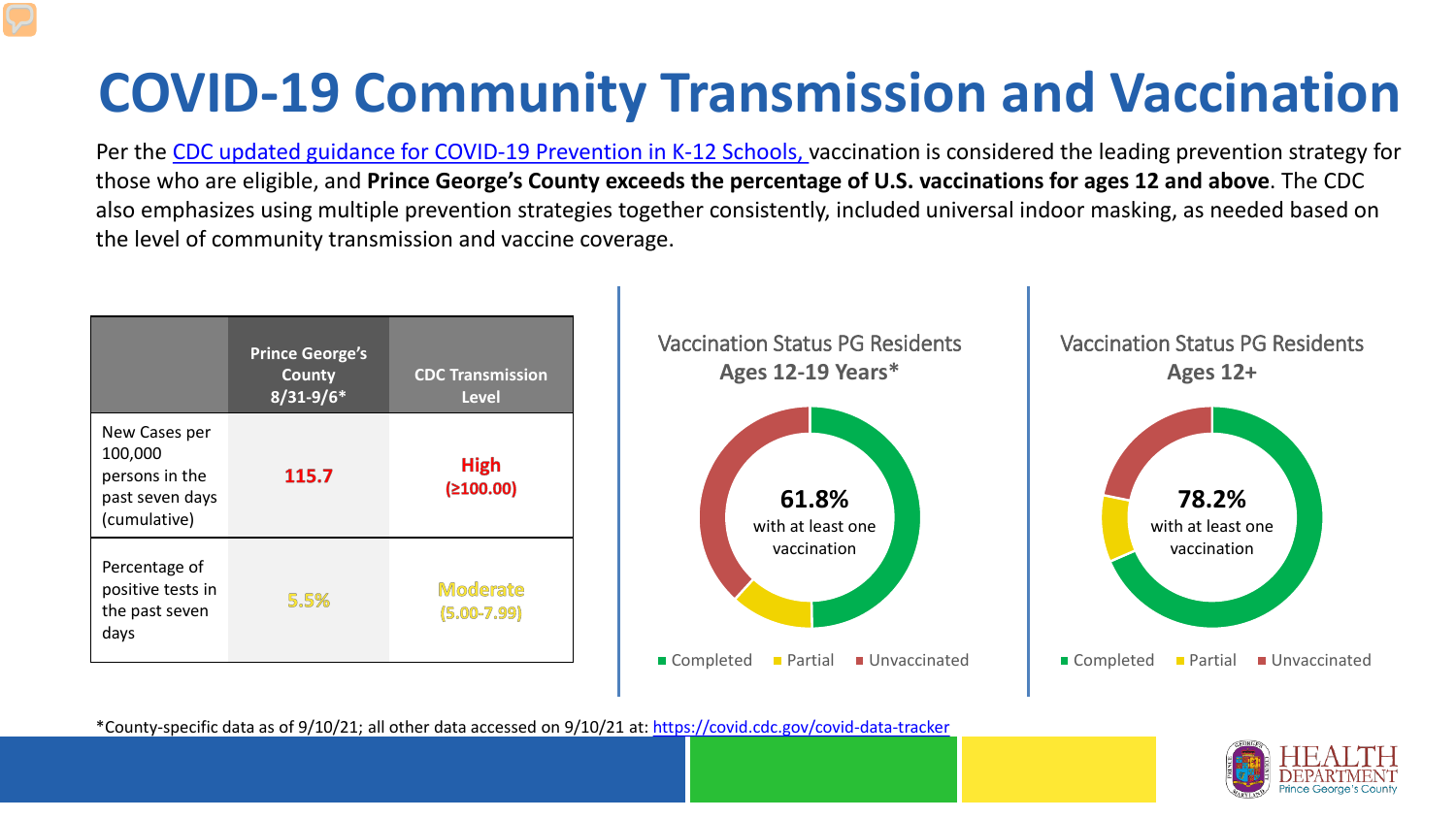# **COVID-19 Community Transmission and Vaccination**

Per the [CDC updated guidance for COVID-19 Prevention in K-12 Schools,](https://www.cdc.gov/coronavirus/2019-ncov/community/schools-childcare/k-12-guidance.html) vaccination is considered the leading prevention strategy for those who are eligible, and **Prince George's County exceeds the percentage of U.S. vaccinations for ages 12 and above**. The CDC also emphasizes using multiple prevention strategies together consistently, included universal indoor masking, as needed based on the level of community transmission and vaccine coverage.



\*County-specific data as of 9/10/21; all other data accessed on 9/10/21 at:<https://covid.cdc.gov/covid-data-tracker>

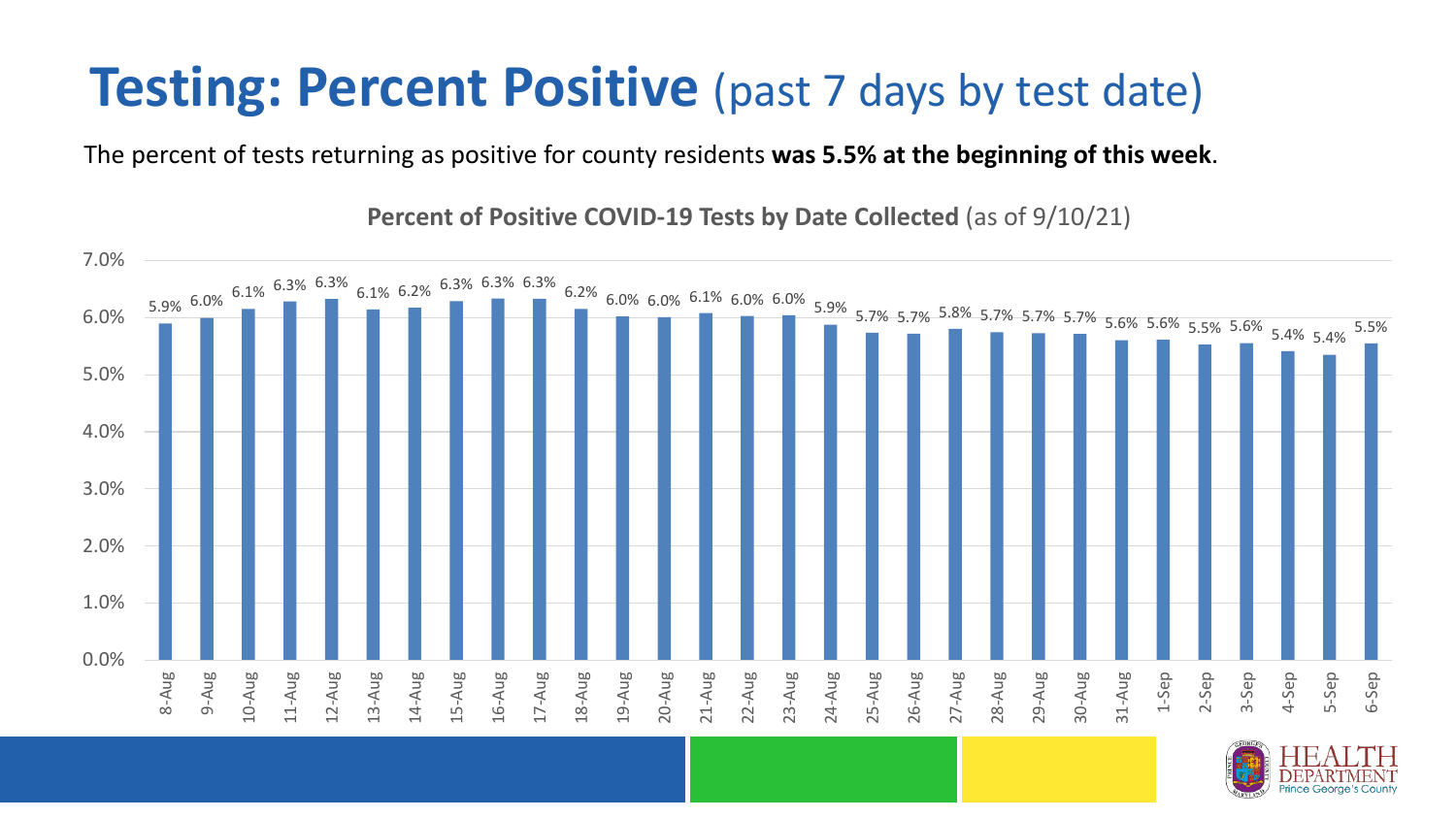### **Testing: Percent Positive** (past 7 days by test date)

The percent of tests returning as positive for county residents **was 5.5% at the beginning of this week**.

 $\begin{array}{|l|l|l|l|l|}\hline \end{array} \begin{array}{l} \text{6.3\%} \begin{array}{l} \text{6.1\%} \begin{array}{l} \text{6.1\%} \end{array} \end{array} \begin{array}{l} \text{6.3\%} \begin{array}{l} \text{6.3\%} \end{array} \end{array} \begin{array}{l} \text{6.3\%} \begin{array}{l} \text{6.3\%} \end{array} \end{array} \begin{array}{l} \text{6.3\%} \begin{array}{l} \text{6.0\%} \end{array} \begin{array}{l} \text{6.0\%} \begin$ 0.0% 1.0% 2.0% 3.0% 4.0% 5.0% 6.0% 7.0% 8-Aug 9-Aug 10-Aug 11-Aug 12-Aug 13-Aug 14-Aug 15-Aug 16-Aug 17-Aug 18-Aug 19-Aug 20-Aug 21-Aug 22-Aug 23-Aug 24-Aug 25-Aug 26-Aug 27-Aug 28-Aug 29-Aug 30-Aug 31-Aug 1-Sep 2-Sep 3-Sep 4-Sep 5-Sep 6-Sep

**Percent of Positive COVID-19 Tests by Date Collected** (as of 9/10/21)

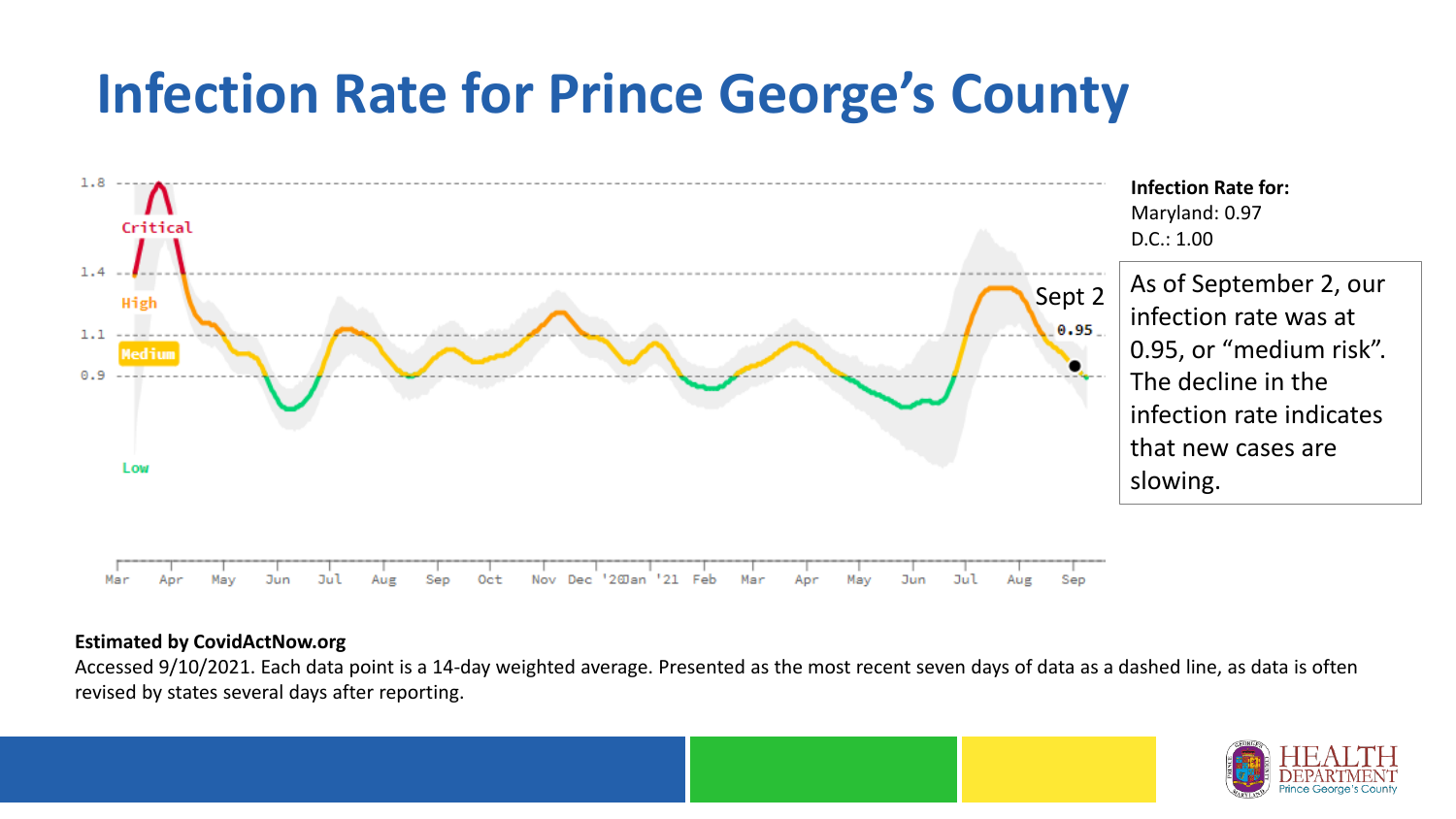## **Infection Rate for Prince George's County**



#### **Estimated by CovidActNow.org**

Accessed 9/10/2021. Each data point is a 14-day weighted average. Presented as the most recent seven days of data as a dashed line, as data is often revised by states several days after reporting.

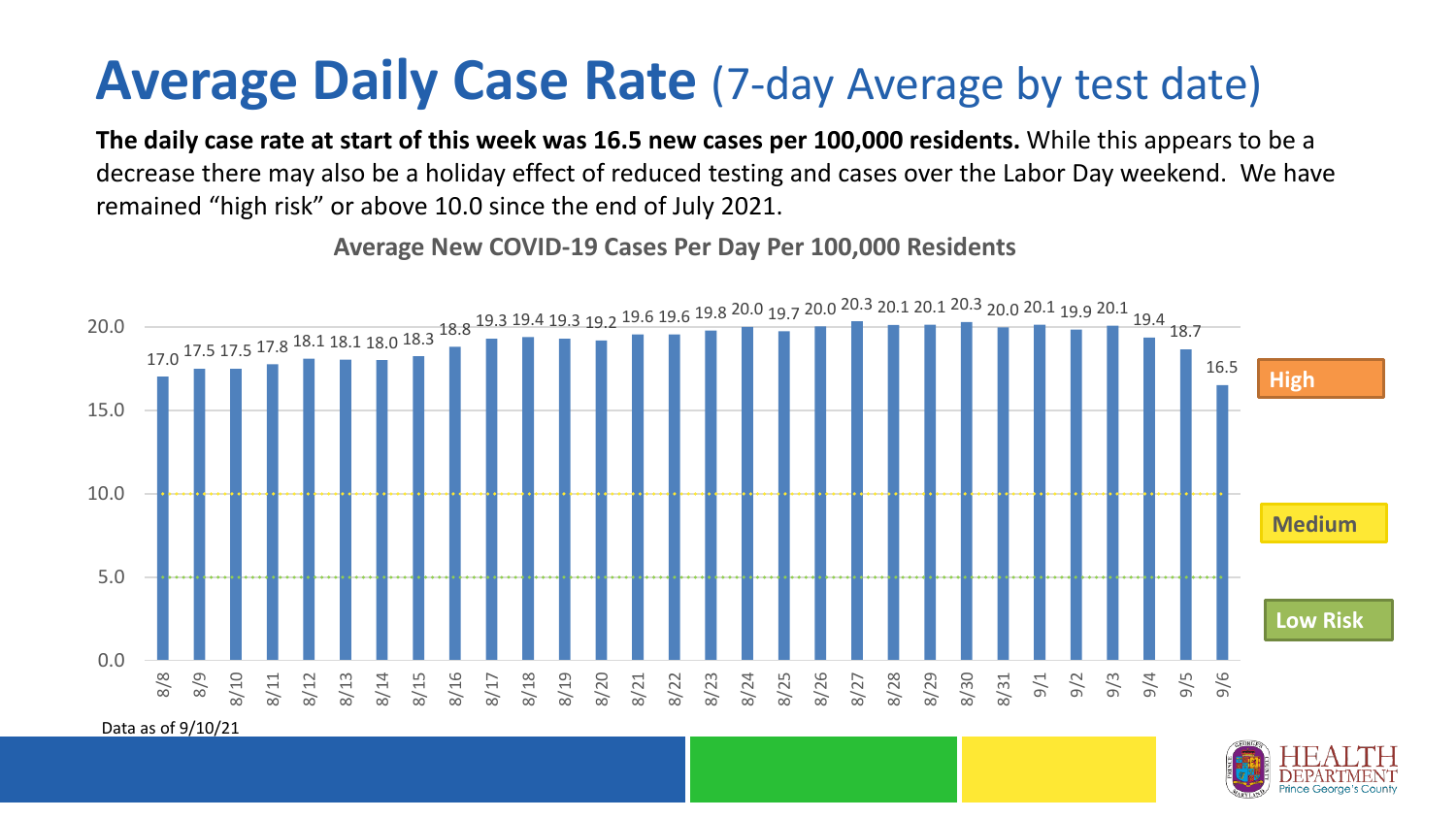### **Average Daily Case Rate** (7-day Average by test date)

**The daily case rate at start of this week was 16.5 new cases per 100,000 residents.** While this appears to be a decrease there may also be a holiday effect of reduced testing and cases over the Labor Day weekend. We have remained "high risk" or above 10.0 since the end of July 2021.



**Average New COVID-19 Cases Per Day Per 100,000 Residents**

Data as of 9/10/21